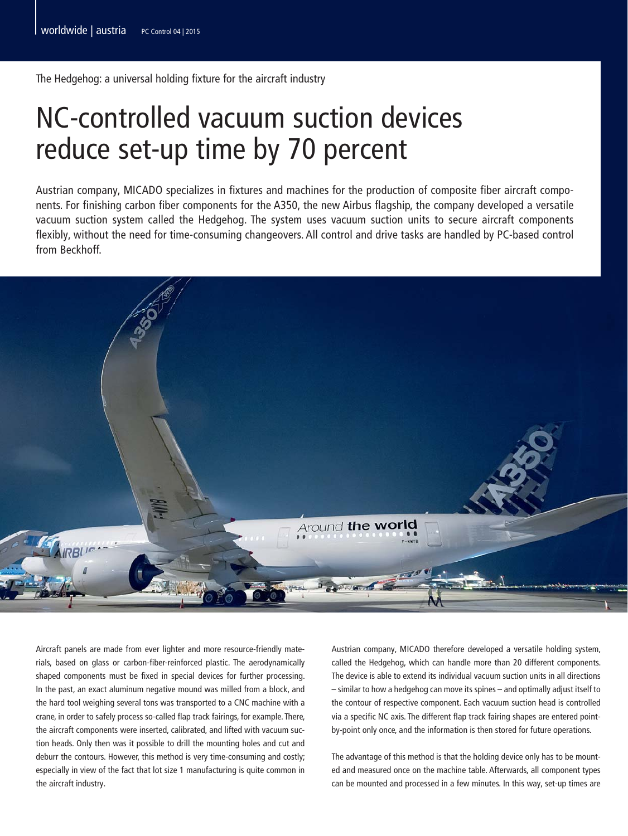The Hedgehog: a universal holding fixture for the aircraft industry

## NC-controlled vacuum suction devices reduce set-up time by 70 percent

Austrian company, MICADO specializes in fixtures and machines for the production of composite fiber aircraft components. For finishing carbon fiber components for the A350, the new Airbus flagship, the company developed a versatile vacuum suction system called the Hedgehog. The system uses vacuum suction units to secure aircraft components flexibly, without the need for time-consuming changeovers. All control and drive tasks are handled by PC-based control from Beckhoff.



Aircraft panels are made from ever lighter and more resource-friendly materials, based on glass or carbon-fiber-reinforced plastic. The aerodynamically shaped components must be fixed in special devices for further processing. In the past, an exact aluminum negative mound was milled from a block, and the hard tool weighing several tons was transported to a CNC machine with a crane, in order to safely process so-called flap track fairings, for example. There, the aircraft components were inserted, calibrated, and lifted with vacuum suction heads. Only then was it possible to drill the mounting holes and cut and deburr the contours. However, this method is very time-consuming and costly; especially in view of the fact that lot size 1 manufacturing is quite common in the aircraft industry.

Austrian company, MICADO therefore developed a versatile holding system, called the Hedgehog, which can handle more than 20 different components. The device is able to extend its individual vacuum suction units in all directions – similar to how a hedgehog can move its spines – and optimally adjust itself to the contour of respective component. Each vacuum suction head is controlled via a specific NC axis. The different flap track fairing shapes are entered pointby-point only once, and the information is then stored for future operations.

The advantage of this method is that the holding device only has to be mounted and measured once on the machine table. Afterwards, all component types can be mounted and processed in a few minutes. In this way, set-up times are